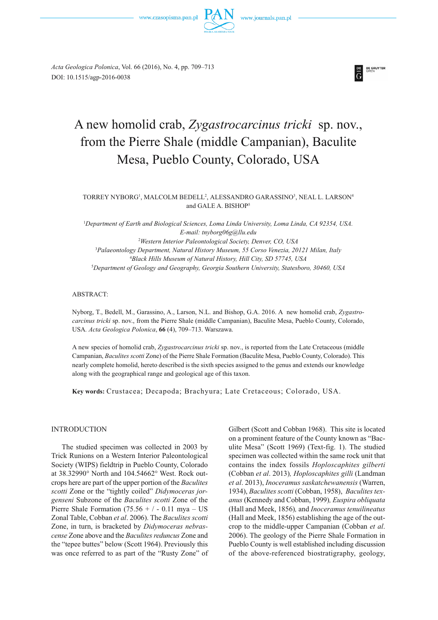

*Acta Geologica Polonica*, Vol. 66 (2016), No. 4, pp. 709–713 DOI: 10.1515/agp-2016-0038

# A new homolid crab, *Zygastrocarcinus tricki* sp. nov., from the Pierre Shale (middle Campanian), Baculite Mesa, Pueblo County, Colorado, USA

# TORREY NYBORG<sup>1</sup>, MALCOLM BEDELL<sup>2</sup>, ALESSANDRO GARASSINO<sup>3</sup>, NEAL L. LARSON<sup>4</sup> and GALE A. BISHOP5

<sup>1</sup>Department of Earth and Biological Sciences, Loma Linda University, Loma Linda, CA 92354, USA. *E-mail: tnyborg06g@llu.edu Western Interior Paleontological Society, Denver, CO, USA Palaeontology Department, Natural History Museum, 55 Corso Venezia, 20121 Milan, Italy Black Hills Museum of Natural History, Hill City, SD 57745, USA Department of Geology and Geography, Georgia Southern University, Statesboro, 30460, USA*

# ABSTRACT:

Nyborg, T., Bedell, M., Garassino, A., Larson, N.L. and Bishop, G.A. 2016. A new homolid crab, *Zygastrocarcinus tricki* sp. nov., from the Pierre Shale (middle Campanian), Baculite Mesa, Pueblo County, Colorado, USA*. Acta Geologica Polonica*, **66** (4), 709–713. Warszawa.

A new species of homolid crab, *Zygastrocarcinus tricki* sp. nov., is reported from the Late Cretaceous (middle Campanian, *Baculites scotti* Zone) of the Pierre Shale Formation (Baculite Mesa, Pueblo County, Colorado). This nearly complete homolid, hereto described is the sixth species assigned to the genus and extends our knowledge along with the geographical range and geological age of this taxon.

**Key words:** Crustacea; Decapoda; Brachyura; Late Cretaceous; Colorado, USA.

### INTRODUCTION

The studied specimen was collected in 2003 by Trick Runions on a Western Interior Paleontological Society (WIPS) fieldtrip in Pueblo County, Colorado at 38.32990° North and 104.54662° West. Rock outcrops here are part of the upper portion of the *Baculites scotti* Zone or the "tightly coiled" *Didymoceras jorgenseni* Subzone of the *Baculites scotti* Zone of the Pierre Shale Formation  $(75.56 + / -0.11 \text{ mya} - \text{US})$ Zonal Table, Cobban *et al*. 2006). The *Baculites scotti* Zone, in turn, is bracketed by *Didymoceras nebrascense* Zone above and the *Baculites reduncus* Zone and the "tepee buttes" below (Scott 1964). Previously this was once referred to as part of the "Rusty Zone" of Gilbert (Scott and Cobban 1968). This site is located on a prominent feature of the County known as "Baculite Mesa" (Scott 1969) (Text-fig. 1). The studied specimen was collected within the same rock unit that contains the index fossils *Hoploscaphites gilberti* (Cobban *et al*. 2013)*, Hoploscaphites gilli* (Landman *et al*. 2013), *Inoceramus saskatchewanensis* (Warren, 1934), *Baculites scotti* (Cobban, 1958), *Baculites texanus* (Kennedy and Cobban, 1999)*, Euspira obliquata* (Hall and Meek, 1856)*,* and *Inoceramus tenuilineatus* (Hall and Meek, 1856) establishing the age of the outcrop to the middle-upper Campanian (Cobban *et al*. 2006). The geology of the Pierre Shale Formation in Pueblo County is well established including discussion of the above-referenced biostratigraphy, geology,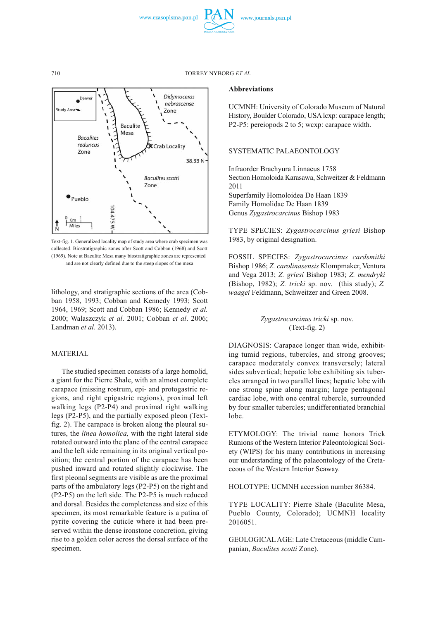



Text-fig. 1. Generalized locality map of study area where crab specimen was collected. Biostratigraphic zones after Scott and Cobban (1968) and Scott (1969). Note at Baculite Mesa many biostratigraphic zones are represented and are not clearly defined due to the steep slopes of the mesa

lithology, and stratigraphic sections of the area (Cobban 1958, 1993; Cobban and Kennedy 1993; Scott 1964, 1969; Scott and Cobban 1986; Kennedy *et al.* 2000; Walaszczyk *et al*. 2001; Cobban *et al*. 2006; Landman *et al*. 2013).

# MATERIAL

The studied specimen consists of a large homolid, a giant for the Pierre Shale, with an almost complete carapace (missing rostrum, epi- and protogastric regions, and right epigastric regions), proximal left walking legs  $(P2-P4)$  and proximal right walking legs (P2-P5), and the partially exposed pleon (Textfig. 2). The carapace is broken along the pleural sutures, the *linea homolica,* with the right lateral side rotated outward into the plane of the central carapace and the left side remaining in its original vertical position; the central portion of the carapace has been pushed inward and rotated slightly clockwise. The first pleonal segments are visible as are the proximal parts of the ambulatory legs (P2-P5) on the right and (P2-P5) on the left side. The P2-P5 is much reduced and dorsal. Besides the completeness and size of this specimen, its most remarkable feature is a patina of pyrite covering the cuticle where it had been preserved within the dense ironstone concretion, giving rise to a golden color across the dorsal surface of the specimen.

#### **Abbreviations**

UCMNH: University of Colorado Museum of Natural History, Boulder Colorado, USA lcxp: carapace length; P2-P5: pereiopods 2 to 5; wcxp: carapace width.

# SYSTEMATIC PALAEONTOLOGY

Infraorder Brachyura Linnaeus 1758 Section Homoloida Karasawa, Schweitzer & Feldmann 2011 Superfamily Homoloidea De Haan 1839 Family Homolidae De Haan 1839 Genus *Zygastrocarcinus* Bishop 1983

TYPE SPECIES: *Zygastrocarcinus griesi* Bishop 1983, by original designation.

FOSSIL SPECIES: *Zygastrocarcinus cardsmithi* Bishop 1986; *Z. carolinasensis* Klompmaker, Ventura and Vega 2013; *Z. griesi* Bishop 1983; *Z. mendryki* (Bishop, 1982); *Z. tricki* sp. nov. (this study); *Z. waagei* Feldmann, Schweitzer and Green 2008.

# *Zygastrocarcinus tricki* sp. nov. (Text-fig. 2)

DIAGNOSIS: Carapace longer than wide, exhibiting tumid regions, tubercles, and strong grooves; carapace moderately convex transversely; lateral sides subvertical; hepatic lobe exhibiting six tubercles arranged in two parallel lines; hepatic lobe with one strong spine along margin; large pentagonal cardiac lobe, with one central tubercle, surrounded by four smaller tubercles; undifferentiated branchial lobe.

ETYMOLOGY: The trivial name honors Trick Runions of the Western Interior Paleontological Society (WIPS) for his many contributions in increasing our understanding of the palaeontology of the Cretaceous of the Western Interior Seaway.

HOLOTYPE: UCMNH accession number 86384.

TYPE LOCALITY: Pierre Shale (Baculite Mesa, Pueblo County, Colorado); UCMNH locality 2016051.

GEOLOGICAL AGE: Late Cretaceous (middle Campanian, *Baculites scotti* Zone).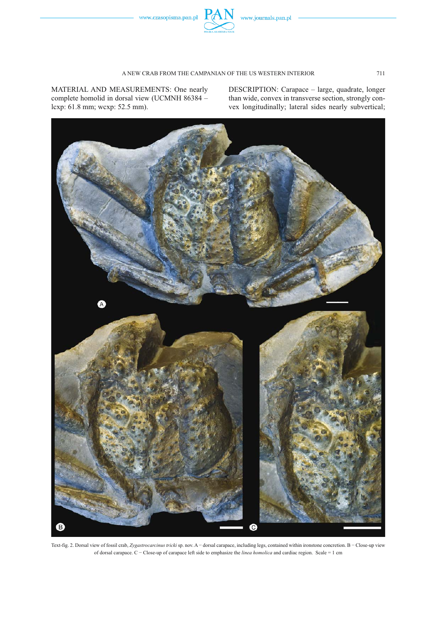www.czasopisma.pan.pl

# A NEW CRAB FROM THE CAMPANIAN OF THE US WESTERN INTERIOR 711

MATERIAL AND MEASUREMENTS: One nearly complete homolid in dorsal view (UCMNH 86384 – lcxp: 61.8 mm; wcxp: 52.5 mm).

DESCRIPTION: Carapace – large, quadrate, longer than wide, convex in transverse section, strongly convex longitudinally; lateral sides nearly subvertical;



Text-fig. 2. Dorsal view of fossil crab, *Zygastrocarcinus tricki* sp. nov. A − dorsal carapace, including legs, contained within ironstone concretion. B − Close-up view of dorsal carapace. C − Close-up of carapace left side to emphasize the *linea homolica* and cardiac region. Scale = 1 cm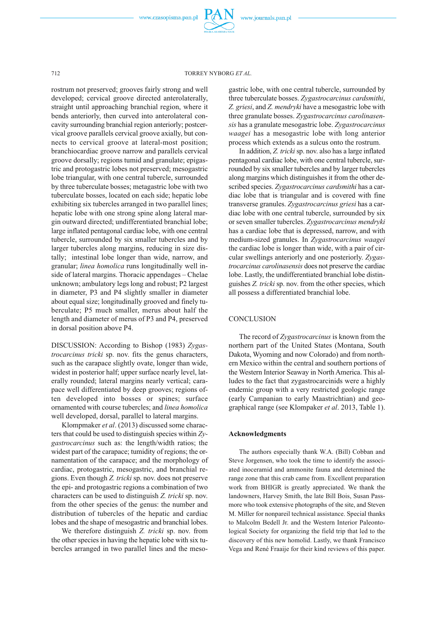

#### 712 TORREY NYBORG *ET AL.*

rostrum not preserved; grooves fairly strong and well developed; cervical groove directed anterolaterally, straight until approaching branchial region, where it bends anteriorly, then curved into anterolateral concavity surrounding branchial region anteriorly; postcervical groove parallels cervical groove axially, but connects to cervical groove at lateral-most position; branchiocardiac groove narrow and parallels cervical groove dorsally; regions tumid and granulate; epigastric and protogastric lobes not preserved; mesogastric lobe triangular, with one central tubercle, surrounded by three tuberculate bosses; metagastric lobe with two tuberculate bosses, located on each side; hepatic lobe exhibiting six tubercles arranged in two parallel lines; hepatic lobe with one strong spine along lateral margin outward directed; undifferentiated branchial lobe; large inflated pentagonal cardiac lobe, with one central tubercle, surrounded by six smaller tubercles and by larger tubercles along margins, reducing in size distally; intestinal lobe longer than wide, narrow, and granular; *linea homolica* runs longitudinally well inside of lateral margins. Thoracic appendages – Chelae unknown; ambulatory legs long and robust; P2 largest in diameter, P3 and P4 slightly smaller in diameter about equal size; longitudinally grooved and finely tuberculate; P5 much smaller, merus about half the length and diameter of merus of P3 and P4, preserved in dorsal position above P4.

DISCUSSION: According to Bishop (1983) *Zygastrocarcinus tricki* sp. nov. fits the genus characters, such as the carapace slightly ovate, longer than wide, widest in posterior half; upper surface nearly level, laterally rounded; lateral margins nearly vertical; carapace well differentiated by deep grooves; regions often developed into bosses or spines; surface ornamented with course tubercles; and *linea homolica* well developed, dorsal, parallel to lateral margins.

Klompmaker *et al*. (2013) discussed some characters that could be used to distinguish species within *Zygastrocarcinus* such as: the length/width ratios; the widest part of the carapace; tumidity of regions; the ornamentation of the carapace; and the morphology of cardiac, protogastric, mesogastric, and branchial regions. Even though *Z. tricki* sp. nov. does not preserve the epi- and protogastric regions a combination of two characters can be used to distinguish *Z. tricki* sp. nov. from the other species of the genus: the number and distribution of tubercles of the hepatic and cardiac lobes and the shape of mesogastric and branchial lobes.

We therefore distinguish *Z. tricki* sp. nov. from the other species in having the hepatic lobe with six tubercles arranged in two parallel lines and the meso-

gastric lobe, with one central tubercle, surrounded by three tuberculate bosses. *Zygastrocarcinus cardsmithi*, *Z. griesi*, and *Z. mendryki* have a mesogastric lobe with three granulate bosses. *Zygastrocarcinus carolinasensis* has a granulate mesogastric lobe. *Zygastrocarcinus waagei* has a mesogastric lobe with long anterior process which extends as a sulcus onto the rostrum.

In addition, *Z. tricki*sp. nov. also has a large inflated pentagonal cardiac lobe, with one central tubercle, surrounded by six smaller tubercles and by larger tubercles along margins which distinguishes it from the other described species. *Zygastrocarcinus cardsmithi* has a cardiac lobe that is triangular and is covered with fine transverse granules. *Zygastrocarcinus griesi* has a cardiac lobe with one central tubercle, surrounded by six or seven smaller tubercles. *Zygastrocarcinus mendryki* has a cardiac lobe that is depressed, narrow, and with medium-sized granules. In *Zygastrocarcinus waagei* the cardiac lobe is longer than wide, with a pair of circular swellings anteriorly and one posteriorly. *Zygastrocarcinus carolinasensis* does not preserve the cardiac lobe. Lastly, the undifferentiated branchial lobe distinguishes *Z. tricki* sp. nov. from the other species, which all possess a differentiated branchial lobe.

# **CONCLUSION**

The record of *Zygastrocarcinus* is known from the northern part of the United States (Montana, South Dakota, Wyoming and now Colorado) and from northern Mexico within the central and southern portions of the Western Interior Seaway in North America. This alludes to the fact that zygastrocarcinids were a highly endemic group with a very restricted geologic range (early Campanian to early Maastrichtian) and geographical range (see Klompaker *et al*. 2013, Table 1).

## **Acknowledgments**

The authors especially thank W.A. (Bill) Cobban and Steve Jorgensen, who took the time to identify the associated inoceramid and ammonite fauna and determined the range zone that this crab came from. Excellent preparation work from BHIGR is greatly appreciated. We thank the landowners, Harvey Smith, the late Bill Bois, Susan Passmore who took extensive photographs of the site, and Steven M. Miller for nonpareil technical assistance. Special thanks to Malcolm Bedell Jr. and the Western Interior Paleontological Society for organizing the field trip that led to the discovery of this new homolid. Lastly, we thank Francisco Vega and René Fraaije for their kind reviews of this paper.